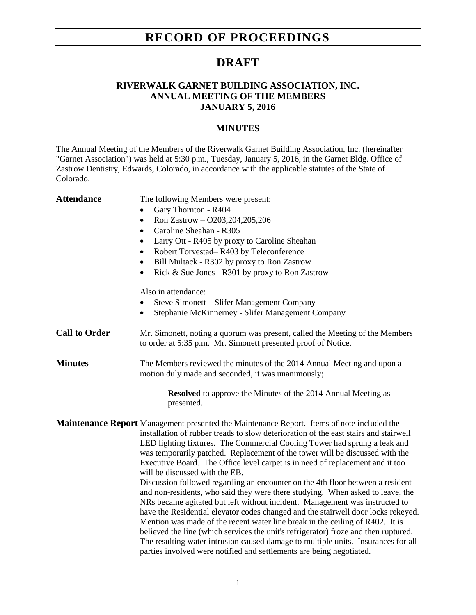## **RECORD OF PROCEEDINGS**

### **DRAFT**

#### **RIVERWALK GARNET BUILDING ASSOCIATION, INC. ANNUAL MEETING OF THE MEMBERS JANUARY 5, 2016**

#### **MINUTES**

The Annual Meeting of the Members of the Riverwalk Garnet Building Association, Inc. (hereinafter "Garnet Association") was held at 5:30 p.m., Tuesday, January 5, 2016, in the Garnet Bldg. Office of Zastrow Dentistry, Edwards, Colorado, in accordance with the applicable statutes of the State of Colorado.

| <b>Attendance</b>    | The following Members were present:                                                                                                                                                                                                                                                                                                                                                                                                                                                                                                                                                                                                                                       |
|----------------------|---------------------------------------------------------------------------------------------------------------------------------------------------------------------------------------------------------------------------------------------------------------------------------------------------------------------------------------------------------------------------------------------------------------------------------------------------------------------------------------------------------------------------------------------------------------------------------------------------------------------------------------------------------------------------|
|                      | Gary Thornton - R404                                                                                                                                                                                                                                                                                                                                                                                                                                                                                                                                                                                                                                                      |
|                      | Ron Zastrow - O203, 204, 205, 206<br>$\bullet$                                                                                                                                                                                                                                                                                                                                                                                                                                                                                                                                                                                                                            |
|                      | Caroline Sheahan - R305                                                                                                                                                                                                                                                                                                                                                                                                                                                                                                                                                                                                                                                   |
|                      | Larry Ott - R405 by proxy to Caroline Sheahan                                                                                                                                                                                                                                                                                                                                                                                                                                                                                                                                                                                                                             |
|                      | Robert Torvestad-R403 by Teleconference<br>$\bullet$                                                                                                                                                                                                                                                                                                                                                                                                                                                                                                                                                                                                                      |
|                      | Bill Multack - R302 by proxy to Ron Zastrow                                                                                                                                                                                                                                                                                                                                                                                                                                                                                                                                                                                                                               |
|                      | Rick & Sue Jones - R301 by proxy to Ron Zastrow<br>$\bullet$                                                                                                                                                                                                                                                                                                                                                                                                                                                                                                                                                                                                              |
|                      | Also in attendance:                                                                                                                                                                                                                                                                                                                                                                                                                                                                                                                                                                                                                                                       |
|                      | Steve Simonett - Slifer Management Company                                                                                                                                                                                                                                                                                                                                                                                                                                                                                                                                                                                                                                |
|                      | Stephanie McKinnerney - Slifer Management Company<br>$\bullet$                                                                                                                                                                                                                                                                                                                                                                                                                                                                                                                                                                                                            |
| <b>Call to Order</b> | Mr. Simonett, noting a quorum was present, called the Meeting of the Members<br>to order at 5:35 p.m. Mr. Simonett presented proof of Notice.                                                                                                                                                                                                                                                                                                                                                                                                                                                                                                                             |
| <b>Minutes</b>       | The Members reviewed the minutes of the 2014 Annual Meeting and upon a<br>motion duly made and seconded, it was unanimously;                                                                                                                                                                                                                                                                                                                                                                                                                                                                                                                                              |
|                      | <b>Resolved</b> to approve the Minutes of the 2014 Annual Meeting as<br>presented.                                                                                                                                                                                                                                                                                                                                                                                                                                                                                                                                                                                        |
|                      | Maintenance Report Management presented the Maintenance Report. Items of note included the<br>installation of rubber treads to slow deterioration of the east stairs and stairwell<br>LED lighting fixtures. The Commercial Cooling Tower had sprung a leak and<br>was temporarily patched. Replacement of the tower will be discussed with the<br>Executive Board. The Office level carpet is in need of replacement and it too<br>will be discussed with the EB.                                                                                                                                                                                                        |
|                      | Discussion followed regarding an encounter on the 4th floor between a resident<br>and non-residents, who said they were there studying. When asked to leave, the<br>NRs became agitated but left without incident. Management was instructed to<br>have the Residential elevator codes changed and the stairwell door locks rekeyed.<br>Mention was made of the recent water line break in the ceiling of R402. It is<br>believed the line (which services the unit's refrigerator) froze and then ruptured.<br>The resulting water intrusion caused damage to multiple units. Insurances for all<br>parties involved were notified and settlements are being negotiated. |